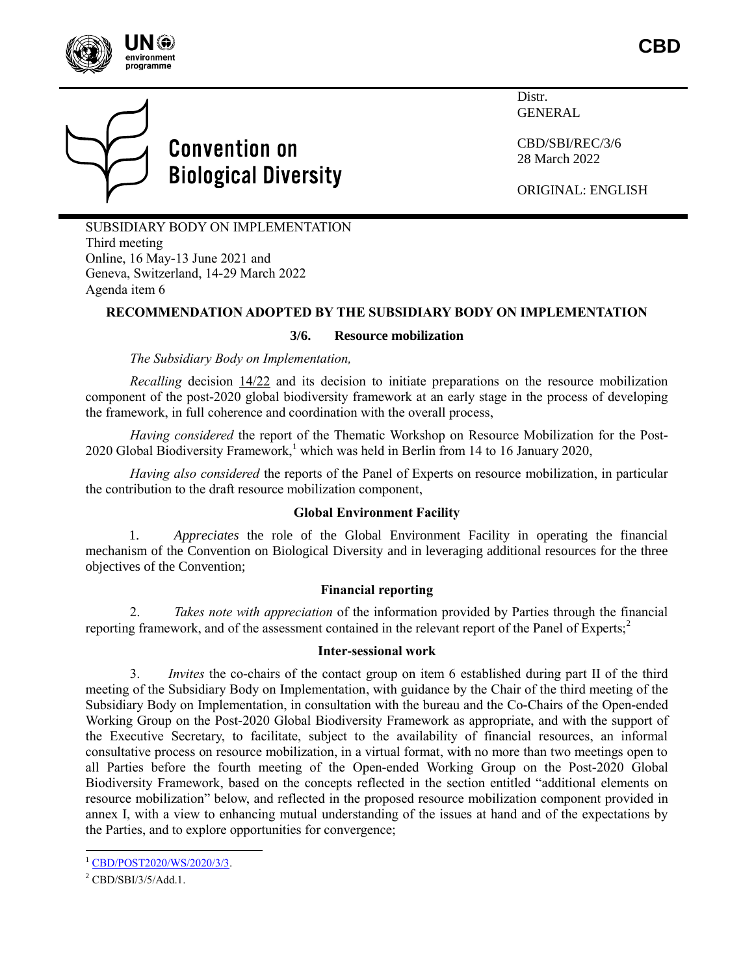



Distr. GENERAL

CBD/SBI/REC/3/6 28 March 2022

ORIGINAL: ENGLISH

SUBSIDIARY BODY ON IMPLEMENTATION Third meeting Online, 16 May-13 June 2021 and Geneva, Switzerland, 14-29 March 2022 Agenda item 6

# **RECOMMENDATION ADOPTED BY THE SUBSIDIARY BODY ON IMPLEMENTATION**

## **3/6. Resource mobilization**

*The Subsidiary Body on Implementation,*

*Recalling* decision [14/22](https://www.cbd.int/doc/decisions/cop-14/cop-14-dec-22-en.pdf) and its decision to initiate preparations on the resource mobilization component of the post-2020 global biodiversity framework at an early stage in the process of developing the framework, in full coherence and coordination with the overall process,

*Having considered* the report of the Thematic Workshop on Resource Mobilization for the Post-2020 Global Biodiversity Framework,<sup>1</sup> which was held in Berlin from 14 to 16 January 2020,

*Having also considered* the reports of the Panel of Experts on resource mobilization, in particular the contribution to the draft resource mobilization component,

### **Global Environment Facility**

1. *Appreciates* the role of the Global Environment Facility in operating the financial mechanism of the Convention on Biological Diversity and in leveraging additional resources for the three objectives of the Convention;

## **Financial reporting**

2. *Takes note with appreciation* of the information provided by Parties through the financial reporting framework, and of the assessment contained in the relevant report of the Panel of Experts;<sup>2</sup>

## **Inter-sessional work**

3. *Invites* the co-chairs of the contact group on item 6 established during part II of the third meeting of the Subsidiary Body on Implementation, with guidance by the Chair of the third meeting of the Subsidiary Body on Implementation, in consultation with the bureau and the Co-Chairs of the Open-ended Working Group on the Post-2020 Global Biodiversity Framework as appropriate, and with the support of the Executive Secretary, to facilitate, subject to the availability of financial resources, an informal consultative process on resource mobilization, in a virtual format, with no more than two meetings open to all Parties before the fourth meeting of the Open-ended Working Group on the Post-2020 Global Biodiversity Framework, based on the concepts reflected in the section entitled "additional elements on resource mobilization" below, and reflected in the proposed resource mobilization component provided in annex I, with a view to enhancing mutual understanding of the issues at hand and of the expectations by the Parties, and to explore opportunities for convergence;

l

<sup>&</sup>lt;sup>1</sup> [CBD/POST2020/WS/2020/3/3.](https://www.cbd.int/doc/c/15fa/4604/83d577ffba0cc6abeb1a51f0/post2020-ws-2020-03-03-en.pdf)

 $^{2}$ CBD/SBI/3/5/Add.1.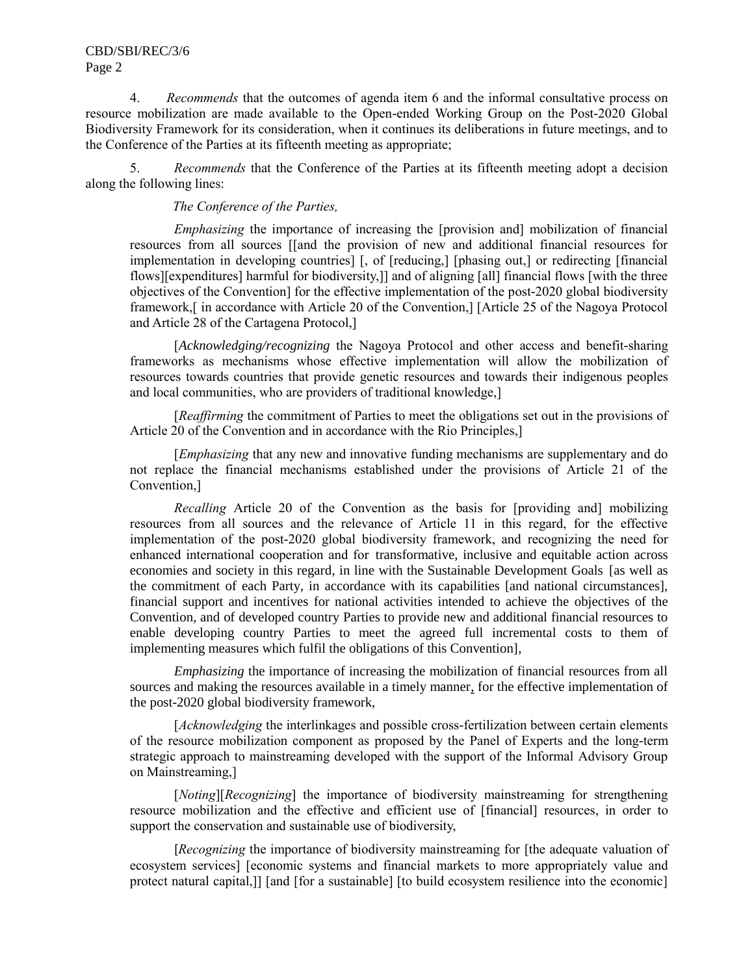# CBD/SBI/REC/3/6 Page 2

4. *Recommends* that the outcomes of agenda item 6 and the informal consultative process on resource mobilization are made available to the Open-ended Working Group on the Post-2020 Global Biodiversity Framework for its consideration, when it continues its deliberations in future meetings, and to the Conference of the Parties at its fifteenth meeting as appropriate;

5. *Recommends* that the Conference of the Parties at its fifteenth meeting adopt a decision along the following lines:

*The Conference of the Parties,*

*Emphasizing* the importance of increasing the [provision and] mobilization of financial resources from all sources [[and the provision of new and additional financial resources for implementation in developing countries] [, of [reducing,] [phasing out,] or redirecting [financial flows][expenditures] harmful for biodiversity,]] and of aligning [all] financial flows [with the three objectives of the Convention] for the effective implementation of the post-2020 global biodiversity framework,[ in accordance with Article 20 of the Convention,] [Article 25 of the Nagoya Protocol and Article 28 of the Cartagena Protocol,]

[*Acknowledging/recognizing* the Nagoya Protocol and other access and benefit-sharing frameworks as mechanisms whose effective implementation will allow the mobilization of resources towards countries that provide genetic resources and towards their indigenous peoples and local communities, who are providers of traditional knowledge,]

[*Reaffirming* the commitment of Parties to meet the obligations set out in the provisions of Article 20 of the Convention and in accordance with the Rio Principles,]

[*Emphasizing* that any new and innovative funding mechanisms are supplementary and do not replace the financial mechanisms established under the provisions of Article 21 of the Convention,]

*Recalling* Article 20 of the Convention as the basis for [providing and] mobilizing resources from all sources and the relevance of Article 11 in this regard, for the effective implementation of the post-2020 global biodiversity framework, and recognizing the need for enhanced international cooperation and for transformative, inclusive and equitable action across economies and society in this regard, in line with the Sustainable Development Goals [as well as the commitment of each Party, in accordance with its capabilities [and national circumstances], financial support and incentives for national activities intended to achieve the objectives of the Convention, and of developed country Parties to provide new and additional financial resources to enable developing country Parties to meet the agreed full incremental costs to them of implementing measures which fulfil the obligations of this Convention],

*Emphasizing* the importance of increasing the mobilization of financial resources from all sources and making the resources available in a timely manner, for the effective implementation of the post-2020 global biodiversity framework,

[*Acknowledging* the interlinkages and possible cross-fertilization between certain elements of the resource mobilization component as proposed by the Panel of Experts and the long-term strategic approach to mainstreaming developed with the support of the Informal Advisory Group on Mainstreaming,]

[*Noting*][*Recognizing*] the importance of biodiversity mainstreaming for strengthening resource mobilization and the effective and efficient use of [financial] resources, in order to support the conservation and sustainable use of biodiversity,

[*Recognizing* the importance of biodiversity mainstreaming for [the adequate valuation of ecosystem services] [economic systems and financial markets to more appropriately value and protect natural capital,]] [and [for a sustainable] [to build ecosystem resilience into the economic]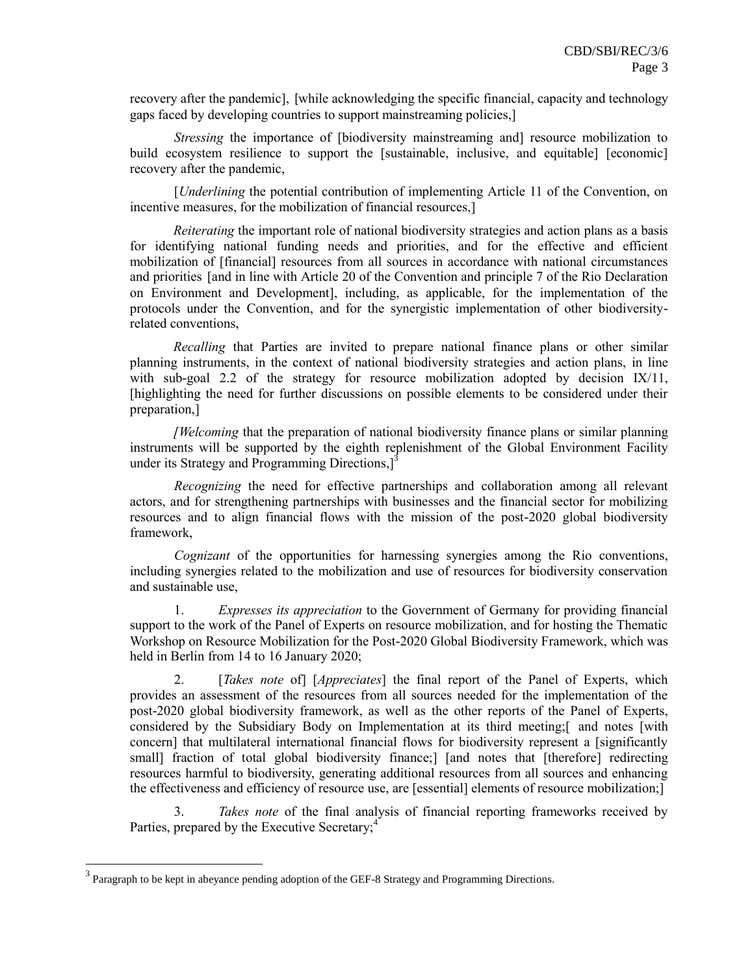recovery after the pandemic], [while acknowledging the specific financial, capacity and technology gaps faced by developing countries to support mainstreaming policies,]

*Stressing* the importance of [biodiversity mainstreaming and] resource mobilization to build ecosystem resilience to support the [sustainable, inclusive, and equitable] [economic] recovery after the pandemic,

[*Underlining* the potential contribution of implementing Article 11 of the Convention, on incentive measures, for the mobilization of financial resources,]

*Reiterating* the important role of national biodiversity strategies and action plans as a basis for identifying national funding needs and priorities, and for the effective and efficient mobilization of [financial] resources from all sources in accordance with national circumstances and priorities [and in line with Article 20 of the Convention and principle 7 of the Rio Declaration on Environment and Development], including, as applicable, for the implementation of the protocols under the Convention, and for the synergistic implementation of other biodiversityrelated conventions,

*Recalling* that Parties are invited to prepare national finance plans or other similar planning instruments, in the context of national biodiversity strategies and action plans, in line with sub-goal 2.2 of the strategy for resource mobilization adopted by decision IX/11, [highlighting the need for further discussions on possible elements to be considered under their preparation,]

*[Welcoming* that the preparation of national biodiversity finance plans or similar planning instruments will be supported by the eighth replenishment of the Global Environment Facility under its Strategy and Programming Directions,<sup>13</sup>

*Recognizing* the need for effective partnerships and collaboration among all relevant actors, and for strengthening partnerships with businesses and the financial sector for mobilizing resources and to align financial flows with the mission of the post-2020 global biodiversity framework,

*Cognizant* of the opportunities for harnessing synergies among the Rio conventions, including synergies related to the mobilization and use of resources for biodiversity conservation and sustainable use,

1. *Expresses its appreciation* to the Government of Germany for providing financial support to the work of the Panel of Experts on resource mobilization, and for hosting the Thematic Workshop on Resource Mobilization for the Post-2020 Global Biodiversity Framework, which was held in Berlin from 14 to 16 January 2020;

2. [*Takes note* of] [*Appreciates*] the final report of the Panel of Experts, which provides an assessment of the resources from all sources needed for the implementation of the post-2020 global biodiversity framework, as well as the other reports of the Panel of Experts, considered by the Subsidiary Body on Implementation at its third meeting;[ and notes [with concern] that multilateral international financial flows for biodiversity represent a [significantly small] fraction of total global biodiversity finance;] [and notes that [therefore] redirecting resources harmful to biodiversity, generating additional resources from all sources and enhancing the effectiveness and efficiency of resource use, are [essential] elements of resource mobilization;]

3. *Takes note* of the final analysis of financial reporting frameworks received by Parties, prepared by the Executive Secretary;<sup>4</sup>

 $\overline{a}$ 

 $3$  Paragraph to be kept in abeyance pending adoption of the GEF-8 Strategy and Programming Directions.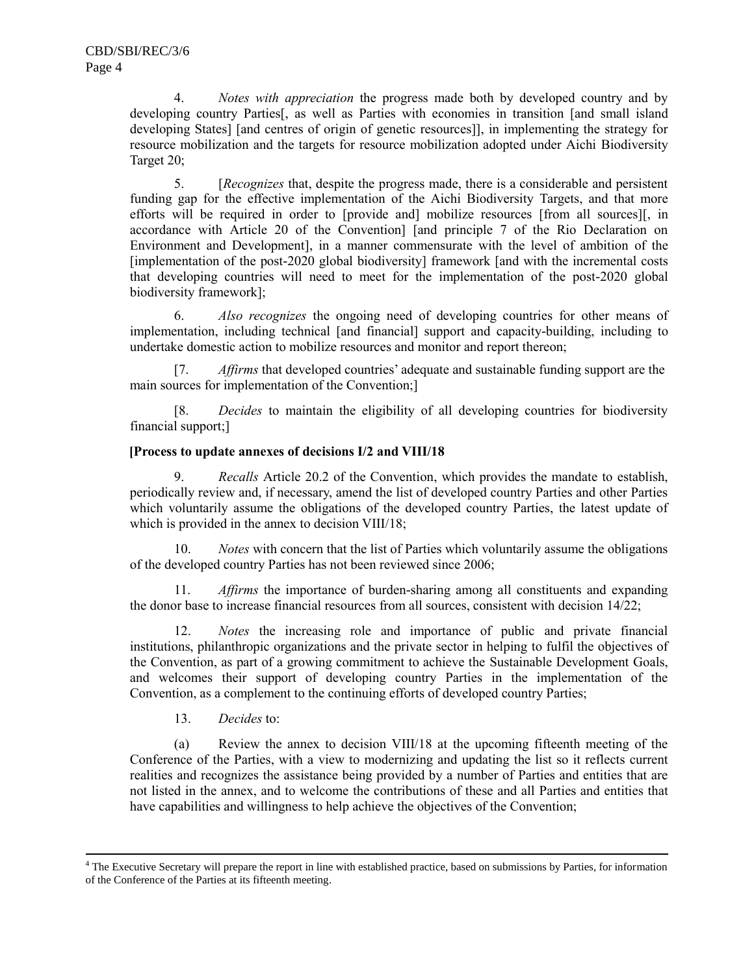4. *Notes with appreciation* the progress made both by developed country and by developing country Parties<sup>[1]</sup>, as well as Parties with economies in transition [and small island developing States] [and centres of origin of genetic resources]], in implementing the strategy for resource mobilization and the targets for resource mobilization adopted under Aichi Biodiversity Target 20;

5. [*Recognizes* that, despite the progress made, there is a considerable and persistent funding gap for the effective implementation of the Aichi Biodiversity Targets, and that more efforts will be required in order to [provide and] mobilize resources [from all sources][, in accordance with Article 20 of the Convention] [and principle 7 of the Rio Declaration on Environment and Development], in a manner commensurate with the level of ambition of the [implementation of the post-2020 global biodiversity] framework [and with the incremental costs that developing countries will need to meet for the implementation of the post-2020 global biodiversity framework];

6. *Also recognizes* the ongoing need of developing countries for other means of implementation, including technical [and financial] support and capacity-building, including to undertake domestic action to mobilize resources and monitor and report thereon;

[7. *Affirms* that developed countries' adequate and sustainable funding support are the main sources for implementation of the Convention;]

[8. *Decides* to maintain the eligibility of all developing countries for biodiversity financial support;]

# **[Process to update annexes of decisions I/2 and VIII/18**

9. *Recalls* Article 20.2 of the Convention, which provides the mandate to establish, periodically review and, if necessary, amend the list of developed country Parties and other Parties which voluntarily assume the obligations of the developed country Parties, the latest update of which is provided in the annex to decision VIII/18;

10. *Notes* with concern that the list of Parties which voluntarily assume the obligations of the developed country Parties has not been reviewed since 2006;

11. *Affirms* the importance of burden-sharing among all constituents and expanding the donor base to increase financial resources from all sources, consistent with decision 14/22;

12. *Notes* the increasing role and importance of public and private financial institutions, philanthropic organizations and the private sector in helping to fulfil the objectives of the Convention, as part of a growing commitment to achieve the Sustainable Development Goals, and welcomes their support of developing country Parties in the implementation of the Convention, as a complement to the continuing efforts of developed country Parties;

13. *Decides* to:

l

(a) Review the annex to decision VIII/18 at the upcoming fifteenth meeting of the Conference of the Parties, with a view to modernizing and updating the list so it reflects current realities and recognizes the assistance being provided by a number of Parties and entities that are not listed in the annex, and to welcome the contributions of these and all Parties and entities that have capabilities and willingness to help achieve the objectives of the Convention;

<sup>&</sup>lt;sup>4</sup> The Executive Secretary will prepare the report in line with established practice, based on submissions by Parties, for information of the Conference of the Parties at its fifteenth meeting.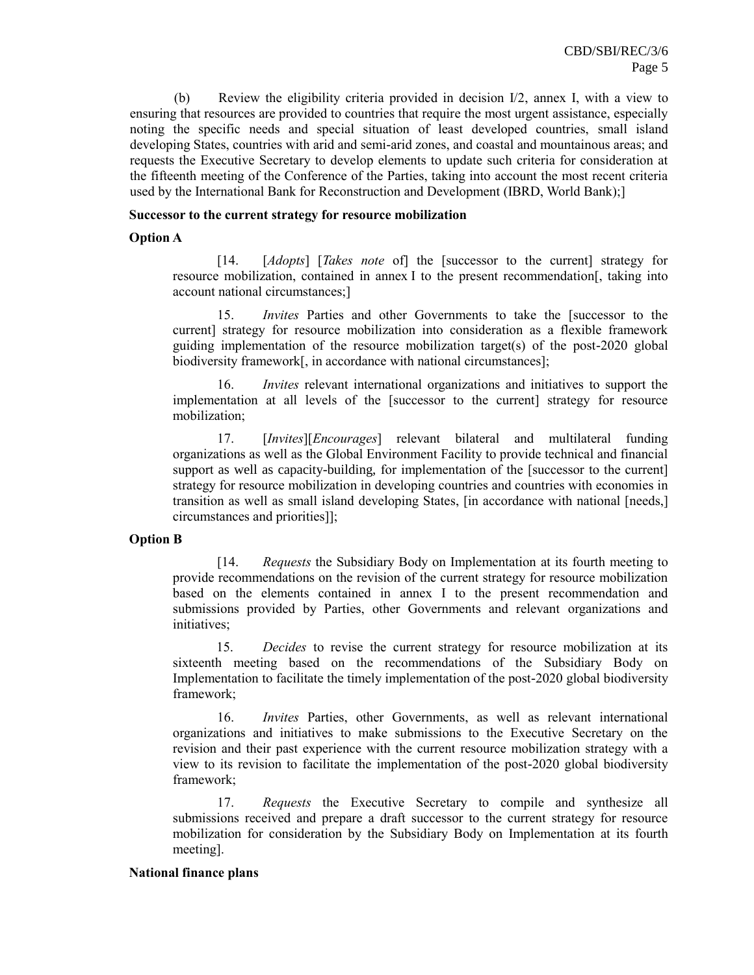(b) Review the eligibility criteria provided in decision I/2, annex I, with a view to ensuring that resources are provided to countries that require the most urgent assistance, especially noting the specific needs and special situation of least developed countries, small island developing States, countries with arid and semi-arid zones, and coastal and mountainous areas; and requests the Executive Secretary to develop elements to update such criteria for consideration at the fifteenth meeting of the Conference of the Parties, taking into account the most recent criteria used by the International Bank for Reconstruction and Development (IBRD, World Bank);]

### **Successor to the current strategy for resource mobilization**

## **Option A**

[14. [*Adopts*] [*Takes note* of] the [successor to the current] strategy for resource mobilization, contained in annex I to the present recommendation[, taking into account national circumstances;]

15. *Invites* Parties and other Governments to take the [successor to the current] strategy for resource mobilization into consideration as a flexible framework guiding implementation of the resource mobilization target(s) of the post-2020 global biodiversity framework[, in accordance with national circumstances];

16. *Invites* relevant international organizations and initiatives to support the implementation at all levels of the [successor to the current] strategy for resource mobilization;

17. [*Invites*][*Encourages*] relevant bilateral and multilateral funding organizations as well as the Global Environment Facility to provide technical and financial support as well as capacity-building, for implementation of the [successor to the current] strategy for resource mobilization in developing countries and countries with economies in transition as well as small island developing States, [in accordance with national [needs,] circumstances and priorities]];

## **Option B**

[14. *Requests* the Subsidiary Body on Implementation at its fourth meeting to provide recommendations on the revision of the current strategy for resource mobilization based on the elements contained in annex I to the present recommendation and submissions provided by Parties, other Governments and relevant organizations and initiatives;

15. *Decides* to revise the current strategy for resource mobilization at its sixteenth meeting based on the recommendations of the Subsidiary Body on Implementation to facilitate the timely implementation of the post-2020 global biodiversity framework;

16. *Invites* Parties, other Governments, as well as relevant international organizations and initiatives to make submissions to the Executive Secretary on the revision and their past experience with the current resource mobilization strategy with a view to its revision to facilitate the implementation of the post-2020 global biodiversity framework;

17. *Requests* the Executive Secretary to compile and synthesize all submissions received and prepare a draft successor to the current strategy for resource mobilization for consideration by the Subsidiary Body on Implementation at its fourth meeting].

### **National finance plans**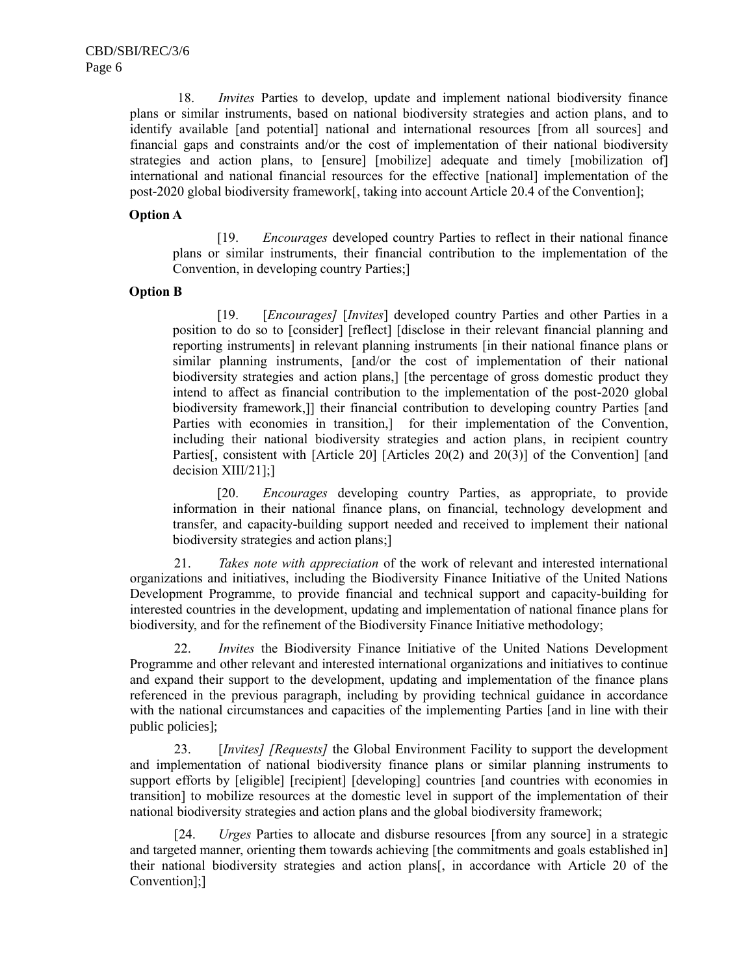18. *Invites* Parties to develop, update and implement national biodiversity finance plans or similar instruments, based on national biodiversity strategies and action plans, and to identify available [and potential] national and international resources [from all sources] and financial gaps and constraints and/or the cost of implementation of their national biodiversity strategies and action plans, to [ensure] [mobilize] adequate and timely [mobilization of] international and national financial resources for the effective [national] implementation of the post-2020 global biodiversity framework[, taking into account Article 20.4 of the Convention];

## **Option A**

[19. *Encourages* developed country Parties to reflect in their national finance plans or similar instruments, their financial contribution to the implementation of the Convention, in developing country Parties;]

## **Option B**

[19. [*Encourages]* [*Invites*] developed country Parties and other Parties in a position to do so to [consider] [reflect] [disclose in their relevant financial planning and reporting instruments] in relevant planning instruments [in their national finance plans or similar planning instruments, [and/or the cost of implementation of their national biodiversity strategies and action plans,] [the percentage of gross domestic product they intend to affect as financial contribution to the implementation of the post-2020 global biodiversity framework,]] their financial contribution to developing country Parties [and Parties with economies in transition,] for their implementation of the Convention, including their national biodiversity strategies and action plans, in recipient country Parties<sup>[11]</sup>, consistent with [Article 20] [Articles 20(2) and 20(3)] of the Convention] [and decision XIII/21];]

[20. *Encourages* developing country Parties, as appropriate, to provide information in their national finance plans, on financial, technology development and transfer, and capacity-building support needed and received to implement their national biodiversity strategies and action plans;]

21. *Takes note with appreciation* of the work of relevant and interested international organizations and initiatives, including the Biodiversity Finance Initiative of the United Nations Development Programme, to provide financial and technical support and capacity-building for interested countries in the development, updating and implementation of national finance plans for biodiversity, and for the refinement of the Biodiversity Finance Initiative methodology;

22. *Invites* the Biodiversity Finance Initiative of the United Nations Development Programme and other relevant and interested international organizations and initiatives to continue and expand their support to the development, updating and implementation of the finance plans referenced in the previous paragraph, including by providing technical guidance in accordance with the national circumstances and capacities of the implementing Parties [and in line with their public policies];

23. [*Invites] [Requests]* the Global Environment Facility to support the development and implementation of national biodiversity finance plans or similar planning instruments to support efforts by [eligible] [recipient] [developing] countries [and countries with economies in transition] to mobilize resources at the domestic level in support of the implementation of their national biodiversity strategies and action plans and the global biodiversity framework;

[24. *Urges* Parties to allocate and disburse resources [from any source] in a strategic and targeted manner, orienting them towards achieving [the commitments and goals established in] their national biodiversity strategies and action plans[, in accordance with Article 20 of the Convention];]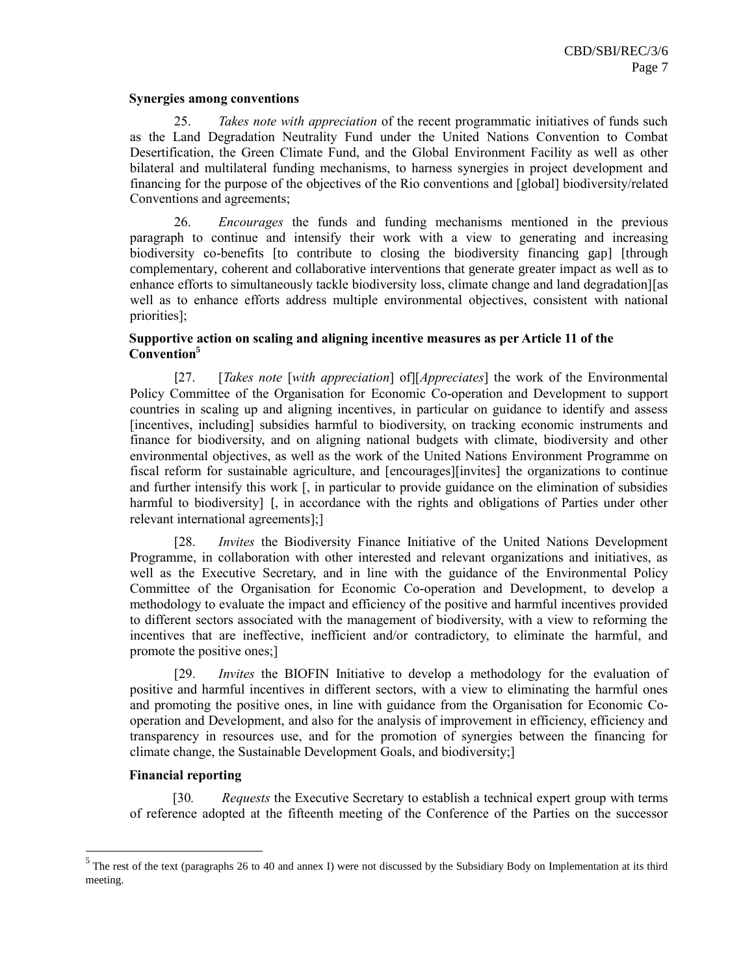### **Synergies among conventions**

25. *Takes note with appreciation* of the recent programmatic initiatives of funds such as the Land Degradation Neutrality Fund under the United Nations Convention to Combat Desertification, the Green Climate Fund, and the Global Environment Facility as well as other bilateral and multilateral funding mechanisms, to harness synergies in project development and financing for the purpose of the objectives of the Rio conventions and [global] biodiversity/related Conventions and agreements;

26. *Encourages* the funds and funding mechanisms mentioned in the previous paragraph to continue and intensify their work with a view to generating and increasing biodiversity co-benefits [to contribute to closing the biodiversity financing gap] [through complementary, coherent and collaborative interventions that generate greater impact as well as to enhance efforts to simultaneously tackle biodiversity loss, climate change and land degradation][as well as to enhance efforts address multiple environmental objectives, consistent with national priorities];

# **Supportive action on scaling and aligning incentive measures as per Article 11 of the Convention<sup>5</sup>**

[27. [*Takes note* [*with appreciation*] of][*Appreciates*] the work of the Environmental Policy Committee of the Organisation for Economic Co-operation and Development to support countries in scaling up and aligning incentives, in particular on guidance to identify and assess [incentives, including] subsidies harmful to biodiversity, on tracking economic instruments and finance for biodiversity, and on aligning national budgets with climate, biodiversity and other environmental objectives, as well as the work of the United Nations Environment Programme on fiscal reform for sustainable agriculture, and [encourages][invites] the organizations to continue and further intensify this work [, in particular to provide guidance on the elimination of subsidies harmful to biodiversity] [, in accordance with the rights and obligations of Parties under other relevant international agreements];]

[28. *Invites* the Biodiversity Finance Initiative of the United Nations Development Programme, in collaboration with other interested and relevant organizations and initiatives, as well as the Executive Secretary, and in line with the guidance of the Environmental Policy Committee of the Organisation for Economic Co-operation and Development, to develop a methodology to evaluate the impact and efficiency of the positive and harmful incentives provided to different sectors associated with the management of biodiversity, with a view to reforming the incentives that are ineffective, inefficient and/or contradictory, to eliminate the harmful, and promote the positive ones;]

[29. *Invites* the BIOFIN Initiative to develop a methodology for the evaluation of positive and harmful incentives in different sectors, with a view to eliminating the harmful ones and promoting the positive ones, in line with guidance from the Organisation for Economic Cooperation and Development, and also for the analysis of improvement in efficiency, efficiency and transparency in resources use, and for the promotion of synergies between the financing for climate change, the Sustainable Development Goals, and biodiversity;]

## **Financial reporting**

[30*. Requests* the Executive Secretary to establish a technical expert group with terms of reference adopted at the fifteenth meeting of the Conference of the Parties on the successor

<sup>&</sup>lt;sup>5</sup> The rest of the text (paragraphs 26 to 40 and annex I) were not discussed by the Subsidiary Body on Implementation at its third meeting.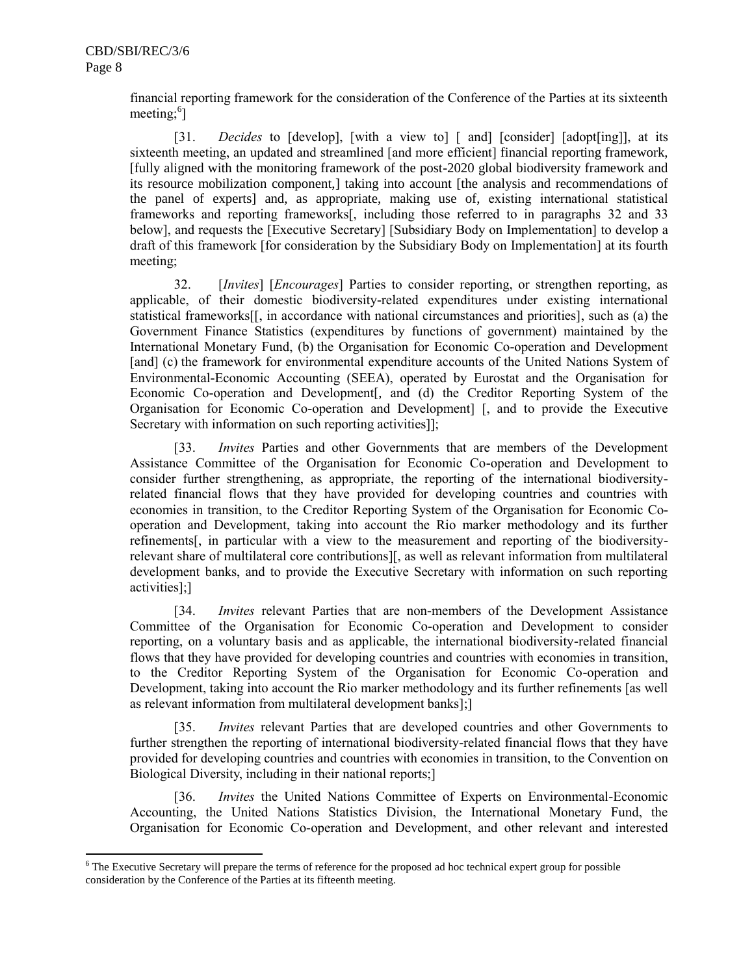l

financial reporting framework for the consideration of the Conference of the Parties at its sixteenth meeting; $^{6}$ ]

[31. *Decides* to [develop], [with a view to] [ and] [consider] [adopt[ing]], at its sixteenth meeting, an updated and streamlined [and more efficient] financial reporting framework, [fully aligned with the monitoring framework of the post-2020 global biodiversity framework and its resource mobilization component,] taking into account [the analysis and recommendations of the panel of experts] and, as appropriate, making use of, existing international statistical frameworks and reporting frameworks[, including those referred to in paragraphs 32 and 33 below], and requests the [Executive Secretary] [Subsidiary Body on Implementation] to develop a draft of this framework [for consideration by the Subsidiary Body on Implementation] at its fourth meeting;

32. [*Invites*] [*Encourages*] Parties to consider reporting, or strengthen reporting, as applicable, of their domestic biodiversity-related expenditures under existing international statistical frameworks[[, in accordance with national circumstances and priorities], such as (a) the Government Finance Statistics (expenditures by functions of government) maintained by the International Monetary Fund, (b) the Organisation for Economic Co-operation and Development [and] (c) the framework for environmental expenditure accounts of the United Nations System of Environmental-Economic Accounting (SEEA), operated by Eurostat and the Organisation for Economic Co-operation and Development[, and (d) the Creditor Reporting System of the Organisation for Economic Co-operation and Development] [, and to provide the Executive Secretary with information on such reporting activities]];

[33. *Invites* Parties and other Governments that are members of the Development Assistance Committee of the Organisation for Economic Co-operation and Development to consider further strengthening, as appropriate, the reporting of the international biodiversityrelated financial flows that they have provided for developing countries and countries with economies in transition, to the Creditor Reporting System of the Organisation for Economic Cooperation and Development, taking into account the Rio marker methodology and its further refinements[, in particular with a view to the measurement and reporting of the biodiversityrelevant share of multilateral core contributions][, as well as relevant information from multilateral development banks, and to provide the Executive Secretary with information on such reporting activities];]

[34. *Invites* relevant Parties that are non-members of the Development Assistance Committee of the Organisation for Economic Co-operation and Development to consider reporting, on a voluntary basis and as applicable, the international biodiversity-related financial flows that they have provided for developing countries and countries with economies in transition, to the Creditor Reporting System of the Organisation for Economic Co-operation and Development, taking into account the Rio marker methodology and its further refinements [as well as relevant information from multilateral development banks];]

[35. *Invites* relevant Parties that are developed countries and other Governments to further strengthen the reporting of international biodiversity-related financial flows that they have provided for developing countries and countries with economies in transition, to the Convention on Biological Diversity, including in their national reports;]

[36. *Invites* the United Nations Committee of Experts on Environmental-Economic Accounting, the United Nations Statistics Division, the International Monetary Fund, the Organisation for Economic Co-operation and Development, and other relevant and interested

<sup>&</sup>lt;sup>6</sup> The Executive Secretary will prepare the terms of reference for the proposed ad hoc technical expert group for possible consideration by the Conference of the Parties at its fifteenth meeting.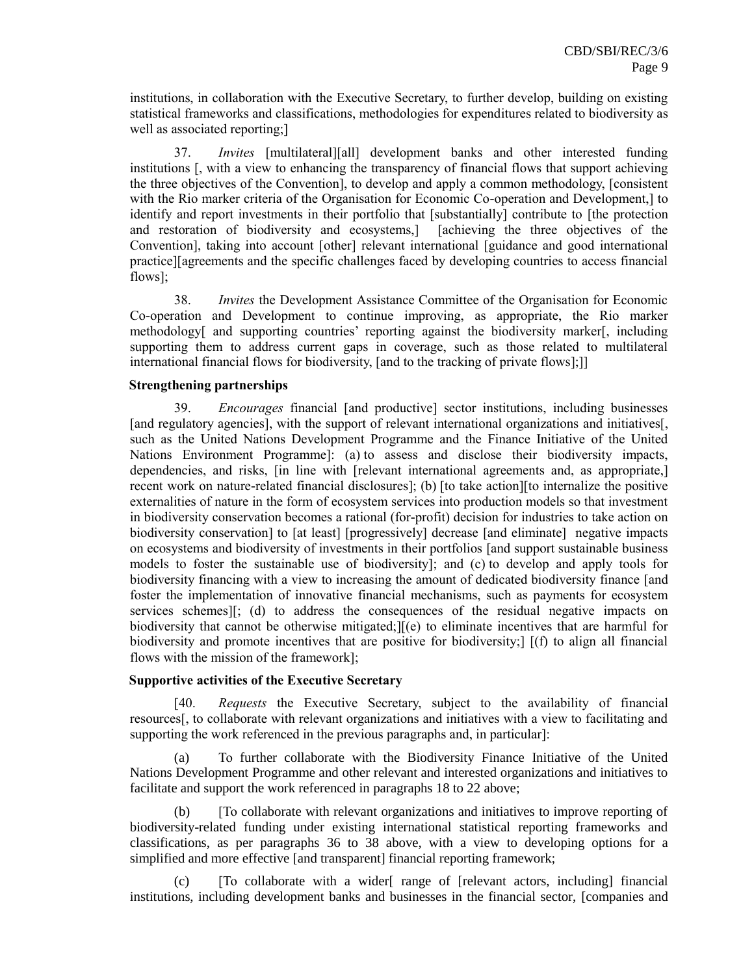institutions, in collaboration with the Executive Secretary, to further develop, building on existing statistical frameworks and classifications, methodologies for expenditures related to biodiversity as well as associated reporting;]

37. *Invites* [multilateral][all] development banks and other interested funding institutions [, with a view to enhancing the transparency of financial flows that support achieving the three objectives of the Convention], to develop and apply a common methodology, [consistent with the Rio marker criteria of the Organisation for Economic Co-operation and Development,] to identify and report investments in their portfolio that [substantially] contribute to [the protection and restoration of biodiversity and ecosystems,] [achieving the three objectives of the Convention], taking into account [other] relevant international [guidance and good international practice][agreements and the specific challenges faced by developing countries to access financial flows];

38. *Invites* the Development Assistance Committee of the Organisation for Economic Co-operation and Development to continue improving, as appropriate, the Rio marker methodology[ and supporting countries' reporting against the biodiversity marker[, including supporting them to address current gaps in coverage, such as those related to multilateral international financial flows for biodiversity, [and to the tracking of private flows];]]

### **Strengthening partnerships**

39. *Encourages* financial [and productive] sector institutions, including businesses [and regulatory agencies], with the support of relevant international organizations and initiatives[, such as the United Nations Development Programme and the Finance Initiative of the United Nations Environment Programme]: (a) to assess and disclose their biodiversity impacts, dependencies, and risks, [in line with [relevant international agreements and, as appropriate,] recent work on nature-related financial disclosures]; (b) [to take action][to internalize the positive externalities of nature in the form of ecosystem services into production models so that investment in biodiversity conservation becomes a rational (for-profit) decision for industries to take action on biodiversity conservation] to [at least] [progressively] decrease [and eliminate] negative impacts on ecosystems and biodiversity of investments in their portfolios [and support sustainable business models to foster the sustainable use of biodiversity]; and (c) to develop and apply tools for biodiversity financing with a view to increasing the amount of dedicated biodiversity finance [and foster the implementation of innovative financial mechanisms, such as payments for ecosystem services schemes][; (d) to address the consequences of the residual negative impacts on biodiversity that cannot be otherwise mitigated;][(e) to eliminate incentives that are harmful for biodiversity and promote incentives that are positive for biodiversity;] [(f) to align all financial flows with the mission of the framework];

## **Supportive activities of the Executive Secretary**

[40. *Requests* the Executive Secretary, subject to the availability of financial resources[, to collaborate with relevant organizations and initiatives with a view to facilitating and supporting the work referenced in the previous paragraphs and, in particular]:

(a) To further collaborate with the Biodiversity Finance Initiative of the United Nations Development Programme and other relevant and interested organizations and initiatives to facilitate and support the work referenced in paragraphs 18 to 22 above;

(b) [To collaborate with relevant organizations and initiatives to improve reporting of biodiversity-related funding under existing international statistical reporting frameworks and classifications, as per paragraphs 36 to 38 above, with a view to developing options for a simplified and more effective [and transparent] financial reporting framework;

(c) [To collaborate with a wider[ range of [relevant actors, including] financial institutions, including development banks and businesses in the financial sector, [companies and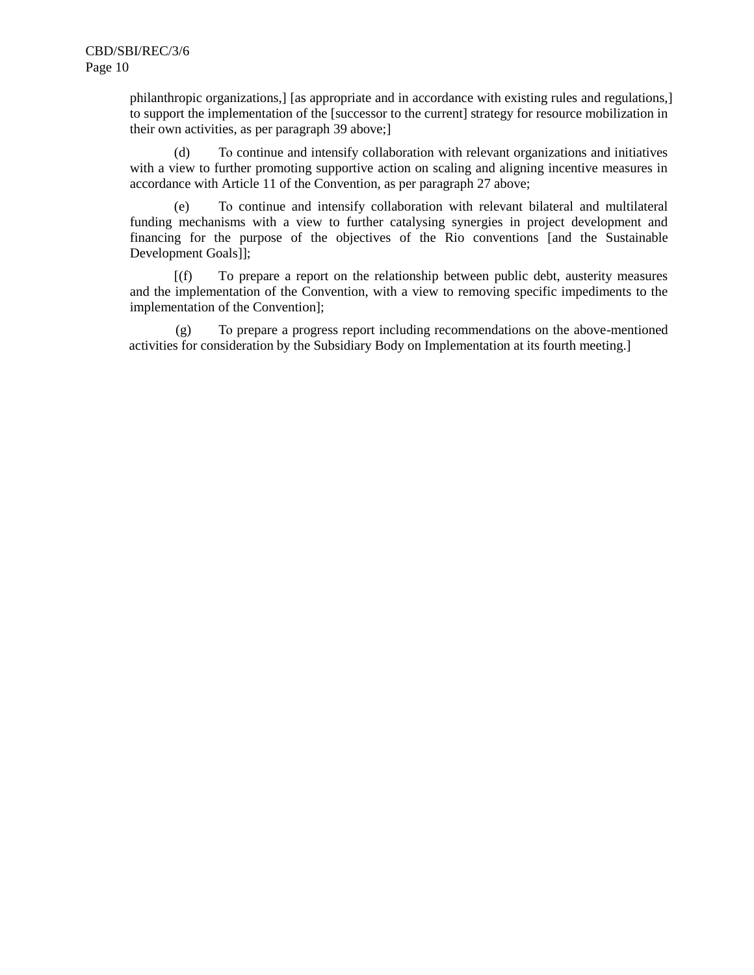philanthropic organizations,] [as appropriate and in accordance with existing rules and regulations,] to support the implementation of the [successor to the current] strategy for resource mobilization in their own activities, as per paragraph 39 above;]

(d) To continue and intensify collaboration with relevant organizations and initiatives with a view to further promoting supportive action on scaling and aligning incentive measures in accordance with Article 11 of the Convention, as per paragraph 27 above;

(e) To continue and intensify collaboration with relevant bilateral and multilateral funding mechanisms with a view to further catalysing synergies in project development and financing for the purpose of the objectives of the Rio conventions [and the Sustainable Development Goals]];

[(f) To prepare a report on the relationship between public debt, austerity measures and the implementation of the Convention, with a view to removing specific impediments to the implementation of the Convention];

(g) To prepare a progress report including recommendations on the above-mentioned activities for consideration by the Subsidiary Body on Implementation at its fourth meeting.]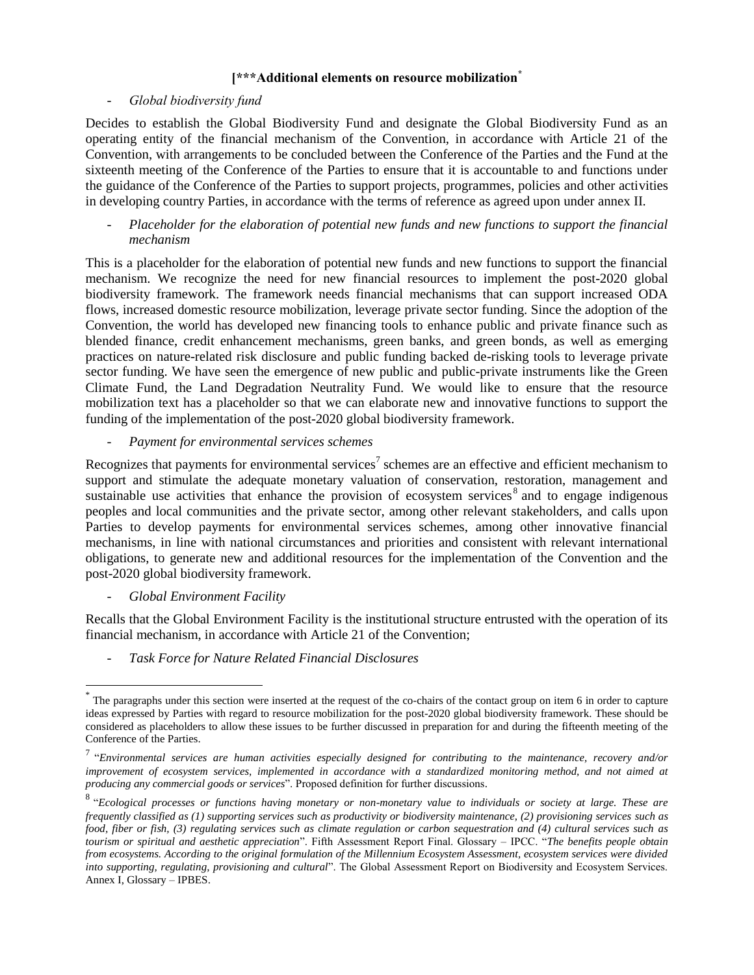## **[\*\*\*Additional elements on resource mobilization\***

## - *Global biodiversity fund*

Decides to establish the Global Biodiversity Fund and designate the Global Biodiversity Fund as an operating entity of the financial mechanism of the Convention, in accordance with Article 21 of the Convention, with arrangements to be concluded between the Conference of the Parties and the Fund at the sixteenth meeting of the Conference of the Parties to ensure that it is accountable to and functions under the guidance of the Conference of the Parties to support projects, programmes, policies and other activities in developing country Parties, in accordance with the terms of reference as agreed upon under annex II.

- *Placeholder for the elaboration of potential new funds and new functions to support the financial mechanism*

This is a placeholder for the elaboration of potential new funds and new functions to support the financial mechanism. We recognize the need for new financial resources to implement the post-2020 global biodiversity framework. The framework needs financial mechanisms that can support increased ODA flows, increased domestic resource mobilization, leverage private sector funding. Since the adoption of the Convention, the world has developed new financing tools to enhance public and private finance such as blended finance, credit enhancement mechanisms, green banks, and green bonds, as well as emerging practices on nature-related risk disclosure and public funding backed de-risking tools to leverage private sector funding. We have seen the emergence of new public and public-private instruments like the Green Climate Fund, the Land Degradation Neutrality Fund. We would like to ensure that the resource mobilization text has a placeholder so that we can elaborate new and innovative functions to support the funding of the implementation of the post-2020 global biodiversity framework.

### - *Payment for environmental services schemes*

Recognizes that payments for environmental services<sup>7</sup> schemes are an effective and efficient mechanism to support and stimulate the adequate monetary valuation of conservation, restoration, management and sustainable use activities that enhance the provision of ecosystem services<sup>8</sup> and to engage indigenous peoples and local communities and the private sector, among other relevant stakeholders, and calls upon Parties to develop payments for environmental services schemes, among other innovative financial mechanisms, in line with national circumstances and priorities and consistent with relevant international obligations, to generate new and additional resources for the implementation of the Convention and the post-2020 global biodiversity framework.

## - *Global Environment Facility*

l

Recalls that the Global Environment Facility is the institutional structure entrusted with the operation of its financial mechanism, in accordance with Article 21 of the Convention;

- *Task Force for Nature Related Financial Disclosures*

<sup>\*</sup> The paragraphs under this section were inserted at the request of the co-chairs of the contact group on item 6 in order to capture ideas expressed by Parties with regard to resource mobilization for the post-2020 global biodiversity framework. These should be considered as placeholders to allow these issues to be further discussed in preparation for and during the fifteenth meeting of the Conference of the Parties.

<sup>7</sup> "*Environmental services are human activities especially designed for contributing to the maintenance, recovery and/or improvement of ecosystem services, implemented in accordance with a standardized monitoring method, and not aimed at producing any commercial goods or services*". Proposed definition for further discussions.

<sup>8</sup> "*Ecological processes or functions having monetary or non-monetary value to individuals or society at large. These are frequently classified as (1) supporting services such as productivity or biodiversity maintenance, (2) provisioning services such as food, fiber or fish, (3) regulating services such as climate regulation or carbon sequestration and (4) cultural services such as tourism or spiritual and aesthetic appreciation*". Fifth Assessment Report Final. Glossary – IPCC. "*The benefits people obtain from ecosystems. According to the original formulation of the Millennium Ecosystem Assessment, ecosystem services were divided into supporting, regulating, provisioning and cultural*". The Global Assessment Report on Biodiversity and Ecosystem Services. Annex I, Glossary – IPBES.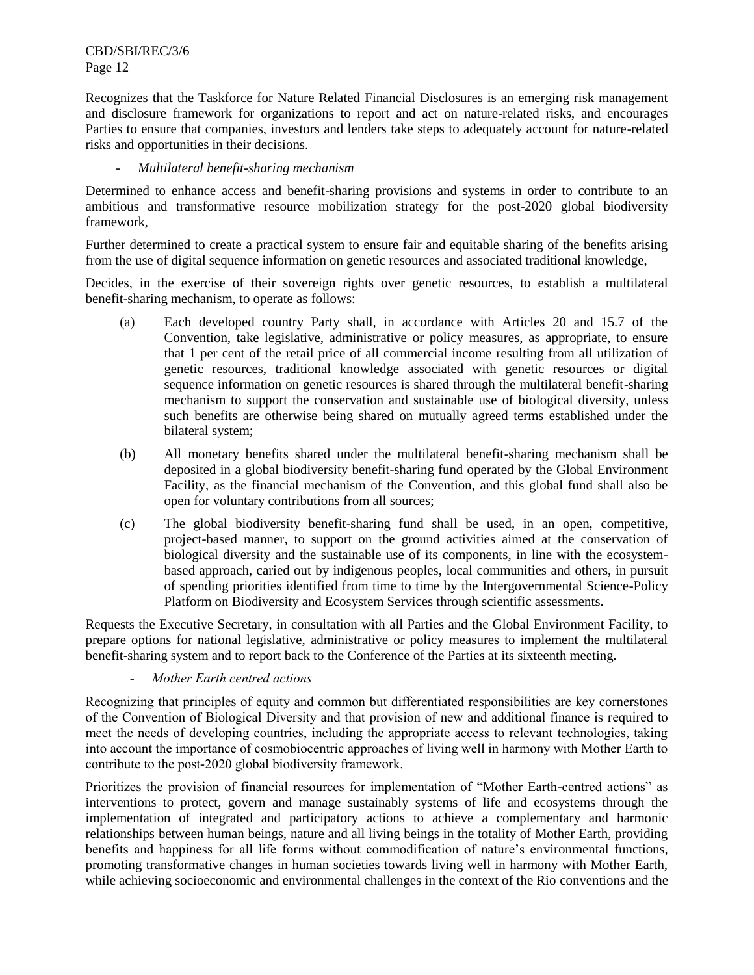CBD/SBI/REC/3/6 Page 12

Recognizes that the Taskforce for Nature Related Financial Disclosures is an emerging risk management and disclosure framework for organizations to report and act on nature-related risks, and encourages Parties to ensure that companies, investors and lenders take steps to adequately account for nature-related risks and opportunities in their decisions.

## - *Multilateral benefit-sharing mechanism*

Determined to enhance access and benefit-sharing provisions and systems in order to contribute to an ambitious and transformative resource mobilization strategy for the post-2020 global biodiversity framework,

Further determined to create a practical system to ensure fair and equitable sharing of the benefits arising from the use of digital sequence information on genetic resources and associated traditional knowledge,

Decides, in the exercise of their sovereign rights over genetic resources, to establish a multilateral benefit-sharing mechanism, to operate as follows:

- (a) Each developed country Party shall, in accordance with Articles 20 and 15.7 of the Convention, take legislative, administrative or policy measures, as appropriate, to ensure that 1 per cent of the retail price of all commercial income resulting from all utilization of genetic resources, traditional knowledge associated with genetic resources or digital sequence information on genetic resources is shared through the multilateral benefit-sharing mechanism to support the conservation and sustainable use of biological diversity, unless such benefits are otherwise being shared on mutually agreed terms established under the bilateral system;
- (b) All monetary benefits shared under the multilateral benefit-sharing mechanism shall be deposited in a global biodiversity benefit-sharing fund operated by the Global Environment Facility, as the financial mechanism of the Convention, and this global fund shall also be open for voluntary contributions from all sources;
- (c) The global biodiversity benefit-sharing fund shall be used, in an open, competitive, project-based manner, to support on the ground activities aimed at the conservation of biological diversity and the sustainable use of its components, in line with the ecosystembased approach, caried out by indigenous peoples, local communities and others, in pursuit of spending priorities identified from time to time by the Intergovernmental Science-Policy Platform on Biodiversity and Ecosystem Services through scientific assessments.

Requests the Executive Secretary, in consultation with all Parties and the Global Environment Facility, to prepare options for national legislative, administrative or policy measures to implement the multilateral benefit-sharing system and to report back to the Conference of the Parties at its sixteenth meeting.

### - *Mother Earth centred actions*

Recognizing that principles of equity and common but differentiated responsibilities are key cornerstones of the Convention of Biological Diversity and that provision of new and additional finance is required to meet the needs of developing countries, including the appropriate access to relevant technologies, taking into account the importance of cosmobiocentric approaches of living well in harmony with Mother Earth to contribute to the post-2020 global biodiversity framework.

Prioritizes the provision of financial resources for implementation of "Mother Earth-centred actions" as interventions to protect, govern and manage sustainably systems of life and ecosystems through the implementation of integrated and participatory actions to achieve a complementary and harmonic relationships between human beings, nature and all living beings in the totality of Mother Earth, providing benefits and happiness for all life forms without commodification of nature's environmental functions, promoting transformative changes in human societies towards living well in harmony with Mother Earth, while achieving socioeconomic and environmental challenges in the context of the Rio conventions and the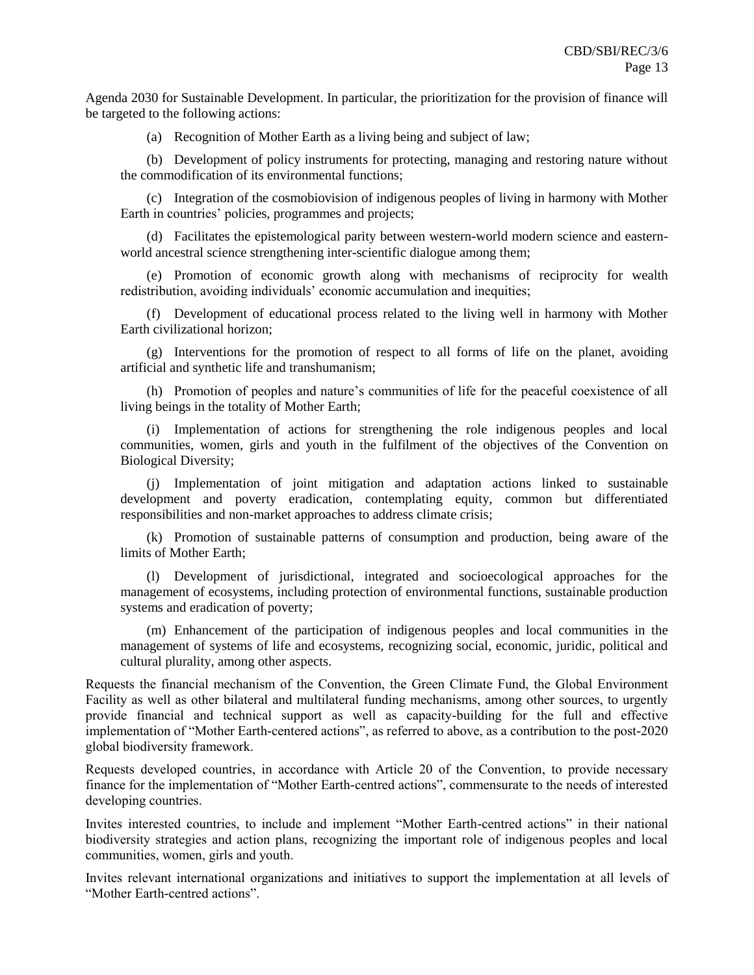Agenda 2030 for Sustainable Development. In particular, the prioritization for the provision of finance will be targeted to the following actions:

(a) Recognition of Mother Earth as a living being and subject of law;

(b) Development of policy instruments for protecting, managing and restoring nature without the commodification of its environmental functions;

(c) Integration of the cosmobiovision of indigenous peoples of living in harmony with Mother Earth in countries' policies, programmes and projects;

(d) Facilitates the epistemological parity between western-world modern science and easternworld ancestral science strengthening inter-scientific dialogue among them;

(e) Promotion of economic growth along with mechanisms of reciprocity for wealth redistribution, avoiding individuals' economic accumulation and inequities;

(f) Development of educational process related to the living well in harmony with Mother Earth civilizational horizon;

(g) Interventions for the promotion of respect to all forms of life on the planet, avoiding artificial and synthetic life and transhumanism;

(h) Promotion of peoples and nature's communities of life for the peaceful coexistence of all living beings in the totality of Mother Earth;

(i) Implementation of actions for strengthening the role indigenous peoples and local communities, women, girls and youth in the fulfilment of the objectives of the Convention on Biological Diversity;

(j) Implementation of joint mitigation and adaptation actions linked to sustainable development and poverty eradication, contemplating equity, common but differentiated responsibilities and non-market approaches to address climate crisis;

(k) Promotion of sustainable patterns of consumption and production, being aware of the limits of Mother Earth;

(l) Development of jurisdictional, integrated and socioecological approaches for the management of ecosystems, including protection of environmental functions, sustainable production systems and eradication of poverty;

(m) Enhancement of the participation of indigenous peoples and local communities in the management of systems of life and ecosystems, recognizing social, economic, juridic, political and cultural plurality, among other aspects.

Requests the financial mechanism of the Convention, the Green Climate Fund, the Global Environment Facility as well as other bilateral and multilateral funding mechanisms, among other sources, to urgently provide financial and technical support as well as capacity-building for the full and effective implementation of "Mother Earth-centered actions", as referred to above, as a contribution to the post-2020 global biodiversity framework.

Requests developed countries, in accordance with Article 20 of the Convention, to provide necessary finance for the implementation of "Mother Earth-centred actions", commensurate to the needs of interested developing countries.

Invites interested countries, to include and implement "Mother Earth-centred actions" in their national biodiversity strategies and action plans, recognizing the important role of indigenous peoples and local communities, women, girls and youth.

Invites relevant international organizations and initiatives to support the implementation at all levels of "Mother Earth-centred actions".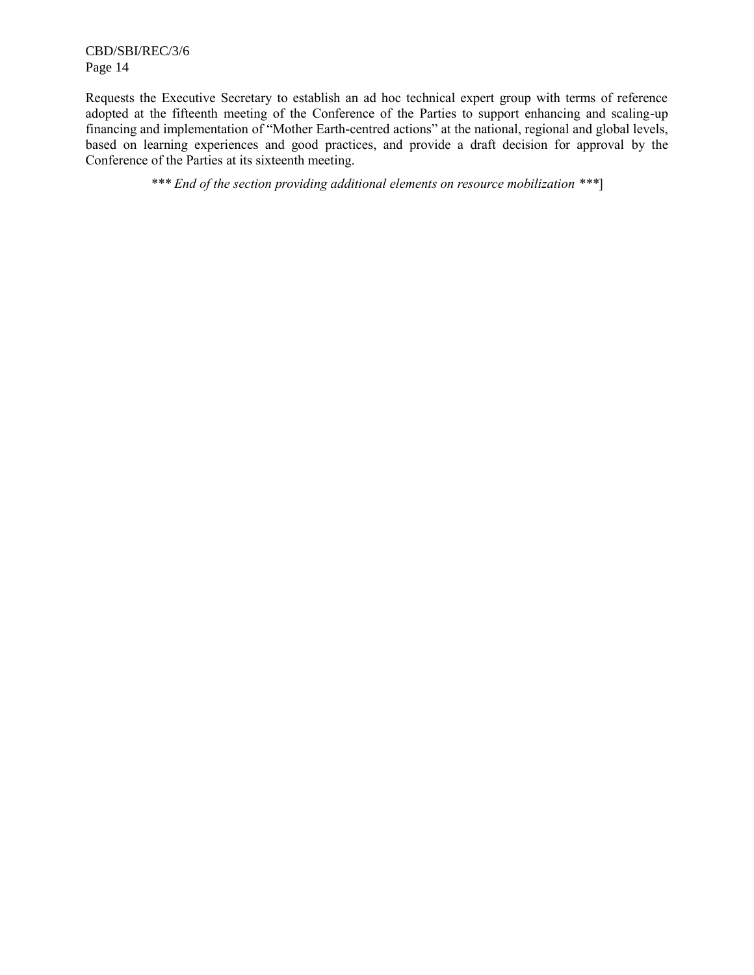CBD/SBI/REC/3/6 Page 14

Requests the Executive Secretary to establish an ad hoc technical expert group with terms of reference adopted at the fifteenth meeting of the Conference of the Parties to support enhancing and scaling-up financing and implementation of "Mother Earth-centred actions" at the national, regional and global levels, based on learning experiences and good practices, and provide a draft decision for approval by the Conference of the Parties at its sixteenth meeting.

*\*\*\* End of the section providing additional elements on resource mobilization \*\*\**]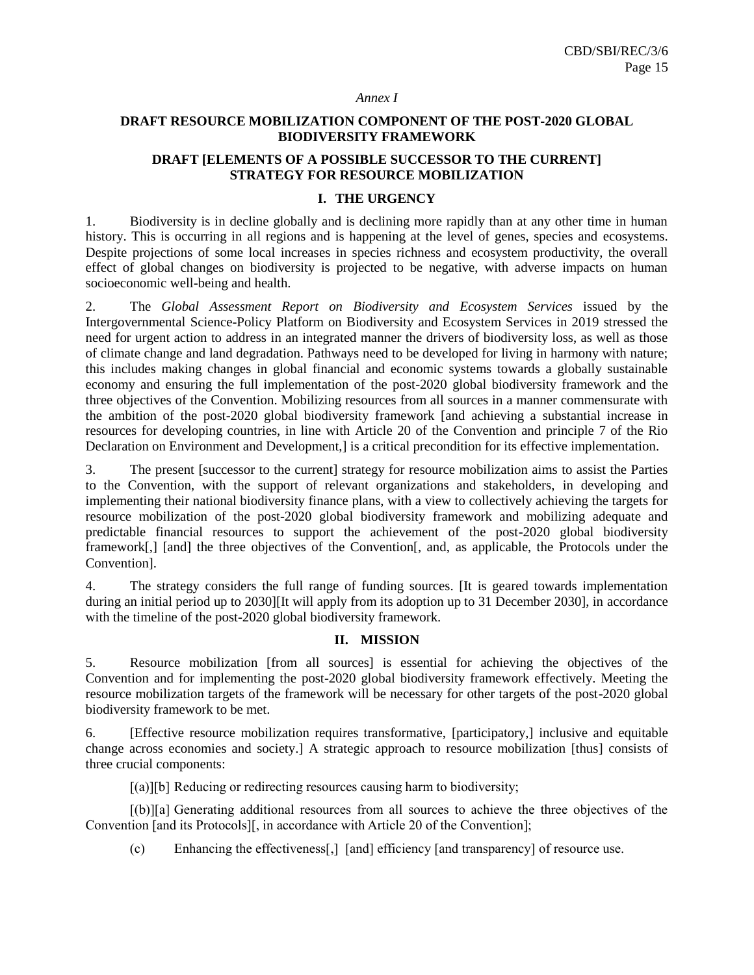#### *Annex I*

## **DRAFT RESOURCE MOBILIZATION COMPONENT OF THE POST-2020 GLOBAL BIODIVERSITY FRAMEWORK**

# **DRAFT [ELEMENTS OF A POSSIBLE SUCCESSOR TO THE CURRENT] STRATEGY FOR RESOURCE MOBILIZATION**

### **I. THE URGENCY**

1. Biodiversity is in decline globally and is declining more rapidly than at any other time in human history. This is occurring in all regions and is happening at the level of genes, species and ecosystems. Despite projections of some local increases in species richness and ecosystem productivity, the overall effect of global changes on biodiversity is projected to be negative, with adverse impacts on human socioeconomic well-being and health.

2. The *Global Assessment Report on Biodiversity and Ecosystem Services* issued by the Intergovernmental Science-Policy Platform on Biodiversity and Ecosystem Services in 2019 stressed the need for urgent action to address in an integrated manner the drivers of biodiversity loss, as well as those of climate change and land degradation. Pathways need to be developed for living in harmony with nature; this includes making changes in global financial and economic systems towards a globally sustainable economy and ensuring the full implementation of the post-2020 global biodiversity framework and the three objectives of the Convention. Mobilizing resources from all sources in a manner commensurate with the ambition of the post-2020 global biodiversity framework [and achieving a substantial increase in resources for developing countries, in line with Article 20 of the Convention and principle 7 of the Rio Declaration on Environment and Development,] is a critical precondition for its effective implementation.

3. The present [successor to the current] strategy for resource mobilization aims to assist the Parties to the Convention, with the support of relevant organizations and stakeholders, in developing and implementing their national biodiversity finance plans, with a view to collectively achieving the targets for resource mobilization of the post-2020 global biodiversity framework and mobilizing adequate and predictable financial resources to support the achievement of the post-2020 global biodiversity framework[,] [and] the three objectives of the Convention[, and, as applicable, the Protocols under the Convention].

4. The strategy considers the full range of funding sources. [It is geared towards implementation during an initial period up to 2030][It will apply from its adoption up to 31 December 2030], in accordance with the timeline of the post-2020 global biodiversity framework.

## **II. MISSION**

5. Resource mobilization [from all sources] is essential for achieving the objectives of the Convention and for implementing the post-2020 global biodiversity framework effectively. Meeting the resource mobilization targets of the framework will be necessary for other targets of the post-2020 global biodiversity framework to be met.

6. [Effective resource mobilization requires transformative, [participatory,] inclusive and equitable change across economies and society.] A strategic approach to resource mobilization [thus] consists of three crucial components:

[(a)][b] Reducing or redirecting resources causing harm to biodiversity;

[(b)][a] Generating additional resources from all sources to achieve the three objectives of the Convention [and its Protocols][, in accordance with Article 20 of the Convention];

(c) Enhancing the effectiveness[,] [and] efficiency [and transparency] of resource use.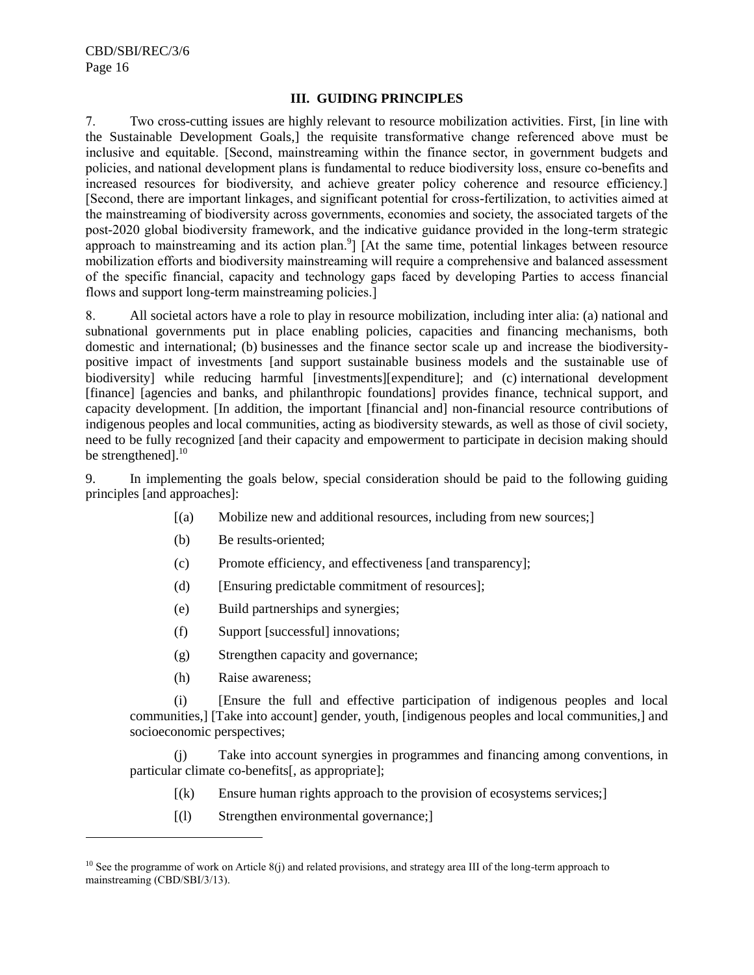### **III. GUIDING PRINCIPLES**

7. Two cross-cutting issues are highly relevant to resource mobilization activities. First, [in line with the Sustainable Development Goals,] the requisite transformative change referenced above must be inclusive and equitable. [Second, mainstreaming within the finance sector, in government budgets and policies, and national development plans is fundamental to reduce biodiversity loss, ensure co-benefits and increased resources for biodiversity, and achieve greater policy coherence and resource efficiency.] [Second, there are important linkages, and significant potential for cross-fertilization, to activities aimed at the mainstreaming of biodiversity across governments, economies and society, the associated targets of the post-2020 global biodiversity framework, and the indicative guidance provided in the long-term strategic approach to mainstreaming and its action plan. $\frac{9}{1}$  [At the same time, potential linkages between resource mobilization efforts and biodiversity mainstreaming will require a comprehensive and balanced assessment of the specific financial, capacity and technology gaps faced by developing Parties to access financial flows and support long-term mainstreaming policies.]

8. All societal actors have a role to play in resource mobilization, including inter alia: (a) national and subnational governments put in place enabling policies, capacities and financing mechanisms, both domestic and international; (b) businesses and the finance sector scale up and increase the biodiversitypositive impact of investments [and support sustainable business models and the sustainable use of biodiversity] while reducing harmful [investments][expenditure]; and (c) international development [finance] [agencies and banks, and philanthropic foundations] provides finance, technical support, and capacity development. [In addition, the important [financial and] non-financial resource contributions of indigenous peoples and local communities, acting as biodiversity stewards, as well as those of civil society, need to be fully recognized [and their capacity and empowerment to participate in decision making should be strengthened].<sup>10</sup>

9. In implementing the goals below, special consideration should be paid to the following guiding principles [and approaches]:

- [(a) Mobilize new and additional resources, including from new sources;]
- (b) Be results-oriented;
- (c) Promote efficiency, and effectiveness [and transparency];
- (d) [Ensuring predictable commitment of resources];
- (e) Build partnerships and synergies;
- (f) Support [successful] innovations;
- (g) Strengthen capacity and governance;
- (h) Raise awareness;

l

(i) [Ensure the full and effective participation of indigenous peoples and local communities,] [Take into account] gender, youth, [indigenous peoples and local communities,] and socioeconomic perspectives;

(j) Take into account synergies in programmes and financing among conventions, in particular climate co-benefits[, as appropriate];

- $[(k)$  Ensure human rights approach to the provision of ecosystems services;
- [(l) Strengthen environmental governance;]

 $10$  See the programme of work on Article 8(j) and related provisions, and strategy area III of the long-term approach to mainstreaming (CBD/SBI/3/13).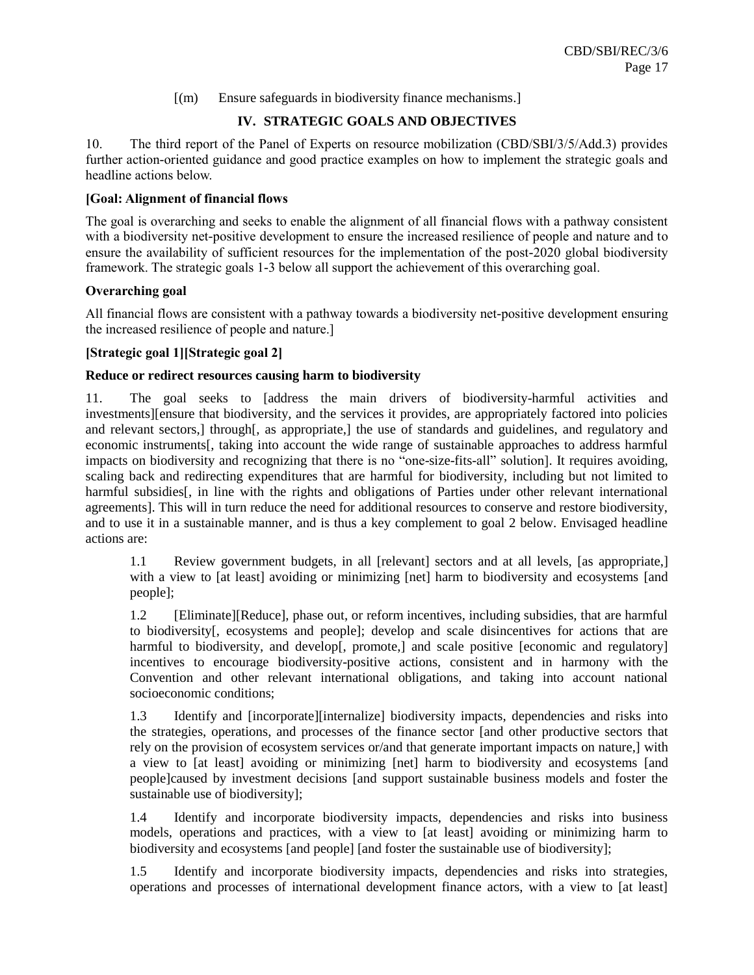# [(m) Ensure safeguards in biodiversity finance mechanisms.]

# **IV. STRATEGIC GOALS AND OBJECTIVES**

10. The third report of the Panel of Experts on resource mobilization (CBD/SBI/3/5/Add.3) provides further action-oriented guidance and good practice examples on how to implement the strategic goals and headline actions below.

# **[Goal: Alignment of financial flows**

The goal is overarching and seeks to enable the alignment of all financial flows with a pathway consistent with a biodiversity net-positive development to ensure the increased resilience of people and nature and to ensure the availability of sufficient resources for the implementation of the post-2020 global biodiversity framework. The strategic goals 1-3 below all support the achievement of this overarching goal.

## **Overarching goal**

All financial flows are consistent with a pathway towards a biodiversity net-positive development ensuring the increased resilience of people and nature.]

## **[Strategic goal 1][Strategic goal 2]**

# **Reduce or redirect resources causing harm to biodiversity**

11. The goal seeks to [address the main drivers of biodiversity-harmful activities and investments][ensure that biodiversity, and the services it provides, are appropriately factored into policies and relevant sectors,] through[, as appropriate,] the use of standards and guidelines, and regulatory and economic instruments[, taking into account the wide range of sustainable approaches to address harmful impacts on biodiversity and recognizing that there is no "one-size-fits-all" solution]. It requires avoiding, scaling back and redirecting expenditures that are harmful for biodiversity, including but not limited to harmful subsidies[, in line with the rights and obligations of Parties under other relevant international agreements]. This will in turn reduce the need for additional resources to conserve and restore biodiversity, and to use it in a sustainable manner, and is thus a key complement to goal 2 below. Envisaged headline actions are:

1.1 Review government budgets, in all [relevant] sectors and at all levels, [as appropriate,] with a view to [at least] avoiding or minimizing [net] harm to biodiversity and ecosystems [and people];

1.2 [Eliminate][Reduce], phase out, or reform incentives, including subsidies, that are harmful to biodiversity[, ecosystems and people]; develop and scale disincentives for actions that are harmful to biodiversity, and develop[, promote,] and scale positive [economic and regulatory] incentives to encourage biodiversity-positive actions, consistent and in harmony with the Convention and other relevant international obligations, and taking into account national socioeconomic conditions;

1.3 Identify and [incorporate][internalize] biodiversity impacts, dependencies and risks into the strategies, operations, and processes of the finance sector [and other productive sectors that rely on the provision of ecosystem services or/and that generate important impacts on nature,] with a view to [at least] avoiding or minimizing [net] harm to biodiversity and ecosystems [and people]caused by investment decisions [and support sustainable business models and foster the sustainable use of biodiversity];

1.4 Identify and incorporate biodiversity impacts, dependencies and risks into business models, operations and practices, with a view to [at least] avoiding or minimizing harm to biodiversity and ecosystems [and people] [and foster the sustainable use of biodiversity];

1.5 Identify and incorporate biodiversity impacts, dependencies and risks into strategies, operations and processes of international development finance actors, with a view to [at least]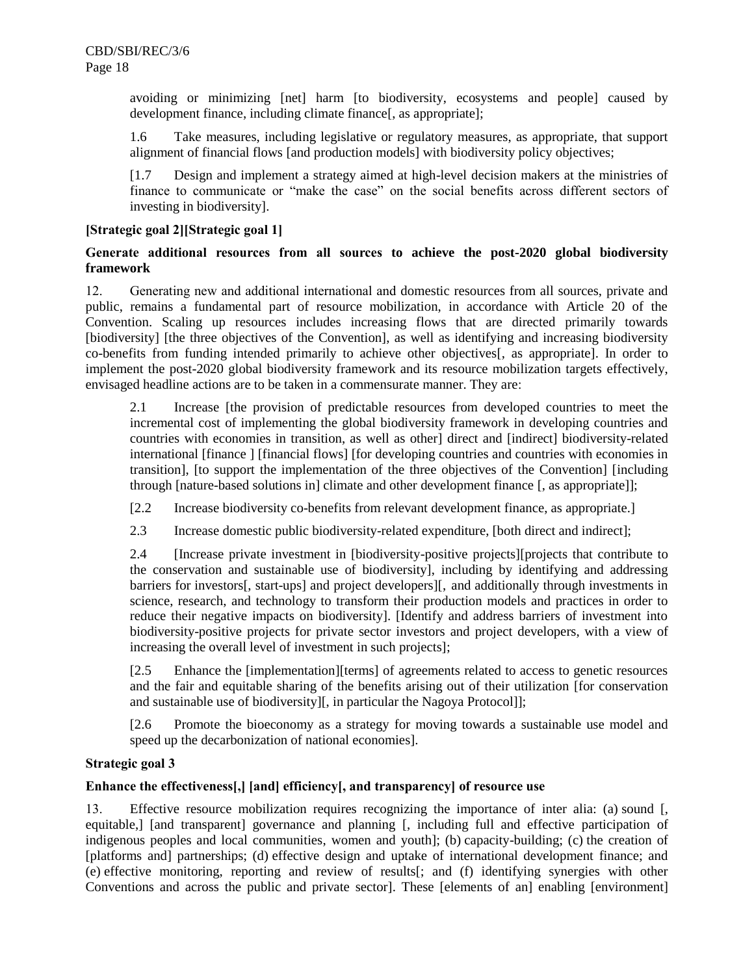avoiding or minimizing [net] harm [to biodiversity, ecosystems and people] caused by development finance, including climate finance[, as appropriate];

1.6 Take measures, including legislative or regulatory measures, as appropriate, that support alignment of financial flows [and production models] with biodiversity policy objectives;

[1.7 Design and implement a strategy aimed at high-level decision makers at the ministries of finance to communicate or "make the case" on the social benefits across different sectors of investing in biodiversity].

# **[Strategic goal 2][Strategic goal 1]**

# **Generate additional resources from all sources to achieve the post-2020 global biodiversity framework**

12. Generating new and additional international and domestic resources from all sources, private and public, remains a fundamental part of resource mobilization, in accordance with Article 20 of the Convention. Scaling up resources includes increasing flows that are directed primarily towards [biodiversity] [the three objectives of the Convention], as well as identifying and increasing biodiversity co-benefits from funding intended primarily to achieve other objectives[, as appropriate]. In order to implement the post-2020 global biodiversity framework and its resource mobilization targets effectively, envisaged headline actions are to be taken in a commensurate manner. They are:

2.1 Increase [the provision of predictable resources from developed countries to meet the incremental cost of implementing the global biodiversity framework in developing countries and countries with economies in transition, as well as other] direct and [indirect] biodiversity-related international [finance ] [financial flows] [for developing countries and countries with economies in transition], [to support the implementation of the three objectives of the Convention] [including through [nature-based solutions in] climate and other development finance [, as appropriate]];

[2.2 Increase biodiversity co-benefits from relevant development finance, as appropriate.]

2.3 Increase domestic public biodiversity-related expenditure, [both direct and indirect];

2.4 [Increase private investment in [biodiversity-positive projects][projects that contribute to the conservation and sustainable use of biodiversity], including by identifying and addressing barriers for investors[, start-ups] and project developers][, and additionally through investments in science, research, and technology to transform their production models and practices in order to reduce their negative impacts on biodiversity]. [Identify and address barriers of investment into biodiversity-positive projects for private sector investors and project developers, with a view of increasing the overall level of investment in such projects];

[2.5 Enhance the [implementation][terms] of agreements related to access to genetic resources and the fair and equitable sharing of the benefits arising out of their utilization [for conservation and sustainable use of biodiversity][, in particular the Nagoya Protocol]];

[2.6 Promote the bioeconomy as a strategy for moving towards a sustainable use model and speed up the decarbonization of national economies].

## **Strategic goal 3**

## **Enhance the effectiveness[,] [and] efficiency[, and transparency] of resource use**

13. Effective resource mobilization requires recognizing the importance of inter alia: (a) sound [, equitable,] [and transparent] governance and planning [, including full and effective participation of indigenous peoples and local communities, women and youth]; (b) capacity-building; (c) the creation of [platforms and] partnerships; (d) effective design and uptake of international development finance; and (e) effective monitoring, reporting and review of results[; and (f) identifying synergies with other Conventions and across the public and private sector]. These [elements of an] enabling [environment]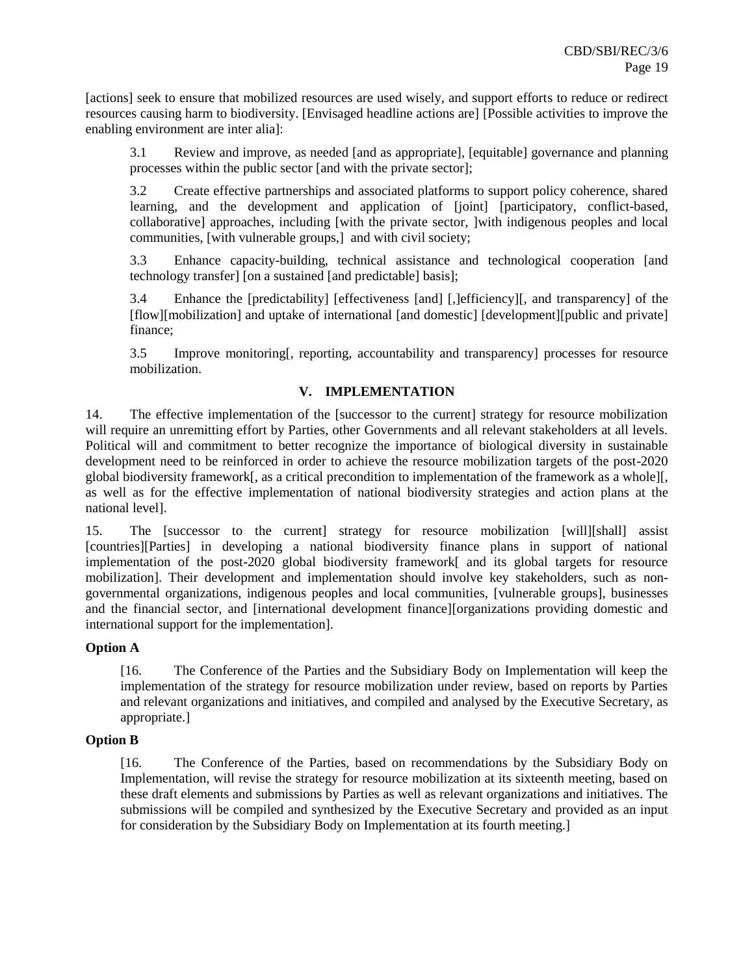[actions] seek to ensure that mobilized resources are used wisely, and support efforts to reduce or redirect resources causing harm to biodiversity. [Envisaged headline actions are] [Possible activities to improve the enabling environment are inter alia]:

3.1 Review and improve, as needed [and as appropriate], [equitable] governance and planning processes within the public sector [and with the private sector];

3.2 Create effective partnerships and associated platforms to support policy coherence, shared learning, and the development and application of [joint] [participatory, conflict-based, collaborative] approaches, including [with the private sector, ]with indigenous peoples and local communities, [with vulnerable groups,] and with civil society;

3.3 Enhance capacity-building, technical assistance and technological cooperation [and technology transfer] [on a sustained [and predictable] basis];

3.4 Enhance the [predictability] [effectiveness [and] [,]efficiency][, and transparency] of the [flow][mobilization] and uptake of international [and domestic] [development][public and private] finance;

3.5 Improve monitoring[, reporting, accountability and transparency] processes for resource mobilization.

# **V. IMPLEMENTATION**

14. The effective implementation of the [successor to the current] strategy for resource mobilization will require an unremitting effort by Parties, other Governments and all relevant stakeholders at all levels. Political will and commitment to better recognize the importance of biological diversity in sustainable development need to be reinforced in order to achieve the resource mobilization targets of the post-2020 global biodiversity framework[, as a critical precondition to implementation of the framework as a whole][, as well as for the effective implementation of national biodiversity strategies and action plans at the national level].

15. The [successor to the current] strategy for resource mobilization [will][shall] assist [countries][Parties] in developing a national biodiversity finance plans in support of national implementation of the post-2020 global biodiversity framework[ and its global targets for resource mobilization]. Their development and implementation should involve key stakeholders, such as nongovernmental organizations, indigenous peoples and local communities, [vulnerable groups], businesses and the financial sector, and [international development finance][organizations providing domestic and international support for the implementation].

## **Option A**

[16. The Conference of the Parties and the Subsidiary Body on Implementation will keep the implementation of the strategy for resource mobilization under review, based on reports by Parties and relevant organizations and initiatives, and compiled and analysed by the Executive Secretary, as appropriate.]

## **Option B**

[16. The Conference of the Parties, based on recommendations by the Subsidiary Body on Implementation, will revise the strategy for resource mobilization at its sixteenth meeting, based on these draft elements and submissions by Parties as well as relevant organizations and initiatives. The submissions will be compiled and synthesized by the Executive Secretary and provided as an input for consideration by the Subsidiary Body on Implementation at its fourth meeting.]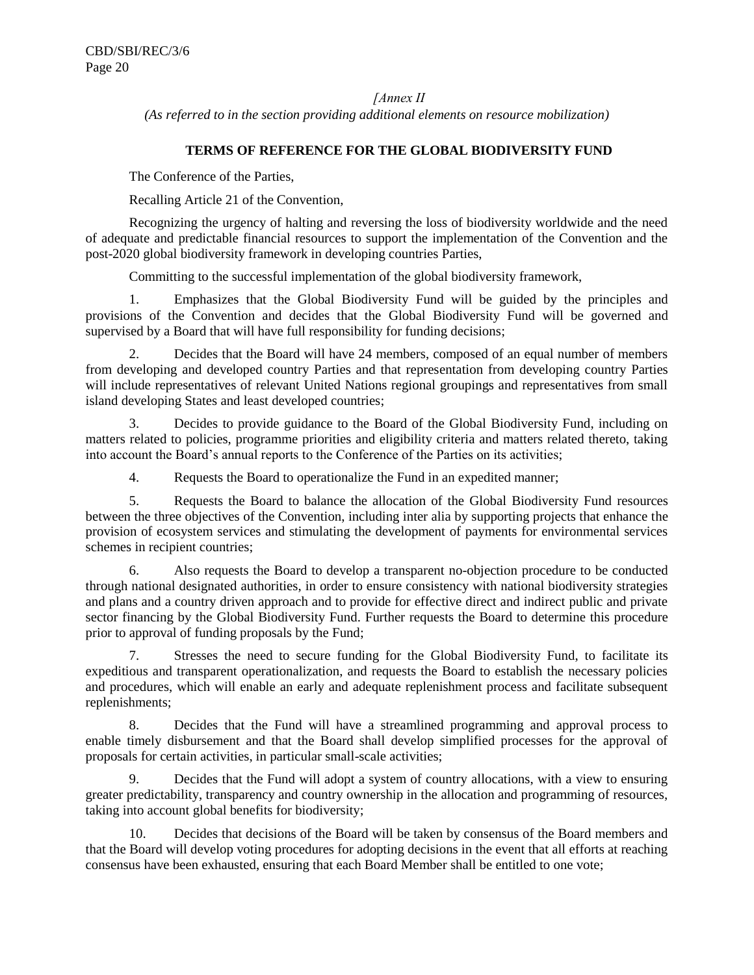*[Annex II*

*(As referred to in the section providing additional elements on resource mobilization)*

### **TERMS OF REFERENCE FOR THE GLOBAL BIODIVERSITY FUND**

The Conference of the Parties,

Recalling Article 21 of the Convention,

Recognizing the urgency of halting and reversing the loss of biodiversity worldwide and the need of adequate and predictable financial resources to support the implementation of the Convention and the post-2020 global biodiversity framework in developing countries Parties,

Committing to the successful implementation of the global biodiversity framework,

1. Emphasizes that the Global Biodiversity Fund will be guided by the principles and provisions of the Convention and decides that the Global Biodiversity Fund will be governed and supervised by a Board that will have full responsibility for funding decisions;

2. Decides that the Board will have 24 members, composed of an equal number of members from developing and developed country Parties and that representation from developing country Parties will include representatives of relevant United Nations regional groupings and representatives from small island developing States and least developed countries;

3. Decides to provide guidance to the Board of the Global Biodiversity Fund, including on matters related to policies, programme priorities and eligibility criteria and matters related thereto, taking into account the Board's annual reports to the Conference of the Parties on its activities;

4. Requests the Board to operationalize the Fund in an expedited manner;

5. Requests the Board to balance the allocation of the Global Biodiversity Fund resources between the three objectives of the Convention, including inter alia by supporting projects that enhance the provision of ecosystem services and stimulating the development of payments for environmental services schemes in recipient countries;

6. Also requests the Board to develop a transparent no-objection procedure to be conducted through national designated authorities, in order to ensure consistency with national biodiversity strategies and plans and a country driven approach and to provide for effective direct and indirect public and private sector financing by the Global Biodiversity Fund. Further requests the Board to determine this procedure prior to approval of funding proposals by the Fund;

7. Stresses the need to secure funding for the Global Biodiversity Fund, to facilitate its expeditious and transparent operationalization, and requests the Board to establish the necessary policies and procedures, which will enable an early and adequate replenishment process and facilitate subsequent replenishments;

8. Decides that the Fund will have a streamlined programming and approval process to enable timely disbursement and that the Board shall develop simplified processes for the approval of proposals for certain activities, in particular small-scale activities;

9. Decides that the Fund will adopt a system of country allocations, with a view to ensuring greater predictability, transparency and country ownership in the allocation and programming of resources, taking into account global benefits for biodiversity;

10. Decides that decisions of the Board will be taken by consensus of the Board members and that the Board will develop voting procedures for adopting decisions in the event that all efforts at reaching consensus have been exhausted, ensuring that each Board Member shall be entitled to one vote;